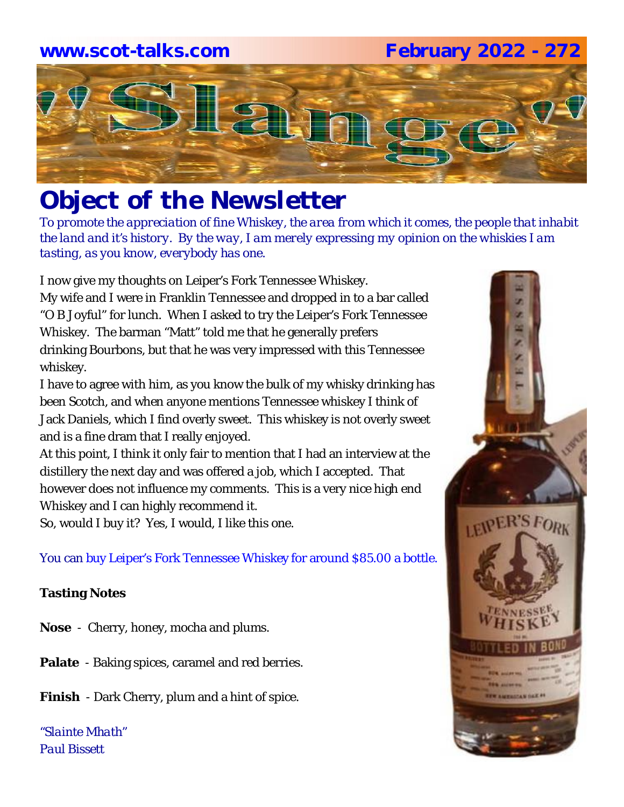# **www.scot-talks.com February 2022 - 272**



# *Object of the Newsletter*

*To promote the appreciation of fine Whiskey, the area from which it comes, the people that inhabit the land and it's history. By the way, I am merely expressing my opinion on the whiskies I am tasting, as you know, everybody has one.* 

I now give my thoughts on Leiper's Fork Tennessee Whiskey. My wife and I were in Franklin Tennessee and dropped in to a bar called "O B Joyful" for lunch. When I asked to try the Leiper's Fork Tennessee Whiskey. The barman "Matt" told me that he generally prefers drinking Bourbons, but that he was very impressed with this Tennessee whiskey.

I have to agree with him, as you know the bulk of my whisky drinking has been Scotch, and when anyone mentions Tennessee whiskey I think of Jack Daniels, which I find overly sweet. This whiskey is not overly sweet and is a fine dram that I really enjoyed.

At this point, I think it only fair to mention that I had an interview at the distillery the next day and was offered a job, which I accepted. That however does not influence my comments. This is a very nice high end Whiskey and I can highly recommend it.

So, would I buy it? Yes, I would, I like this one.

You can buy Leiper's Fork Tennessee Whiskey for around \$85.00 a bottle.

### **Tasting Notes**

- **Nose**  Cherry, honey, mocha and plums.
- **Palate**  Baking spices, caramel and red berries.
- **Finish**  Dark Cherry, plum and a hint of spice.

*"Slainte Mhath" Paul Bissett*

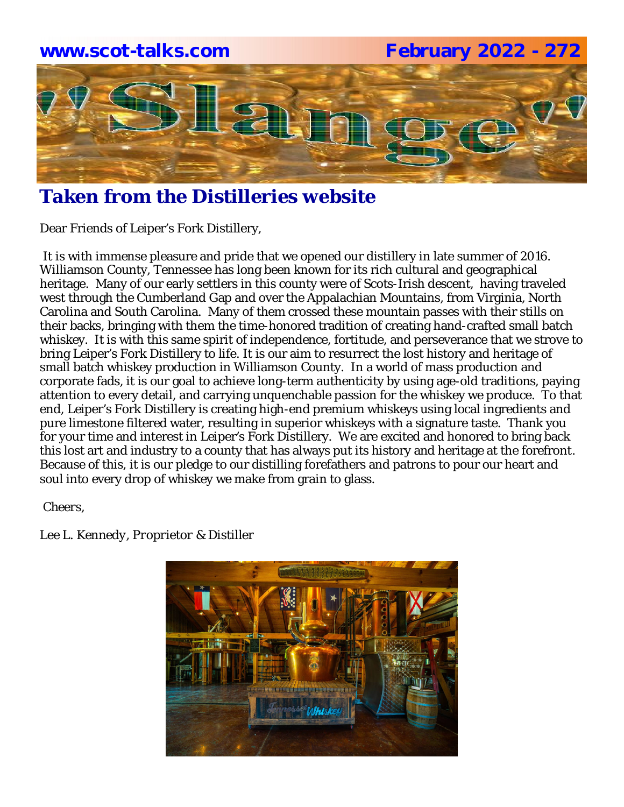

# **Taken from the Distilleries website**

Dear Friends of Leiper's Fork Distillery,

It is with immense pleasure and pride that we opened our distillery in late summer of 2016. Williamson County, Tennessee has long been known for its rich cultural and geographical heritage. Many of our early settlers in this county were of Scots-Irish descent, having traveled west through the Cumberland Gap and over the Appalachian Mountains, from Virginia, North Carolina and South Carolina. Many of them crossed these mountain passes with their stills on their backs, bringing with them the time-honored tradition of creating hand-crafted small batch whiskey. It is with this same spirit of independence, fortitude, and perseverance that we strove to bring Leiper's Fork Distillery to life. It is our aim to resurrect the lost history and heritage of small batch whiskey production in Williamson County. In a world of mass production and corporate fads, it is our goal to achieve long-term authenticity by using age-old traditions, paying attention to every detail, and carrying unquenchable passion for the whiskey we produce. To that end, Leiper's Fork Distillery is creating high-end premium whiskeys using local ingredients and pure limestone filtered water, resulting in superior whiskeys with a signature taste. Thank you for your time and interest in Leiper's Fork Distillery. We are excited and honored to bring back this lost art and industry to a county that has always put its history and heritage at the forefront. Because of this, it is our pledge to our distilling forefathers and patrons to pour our heart and soul into every drop of whiskey we make from grain to glass.

*Cheers,*

*Lee L. Kennedy, Proprietor & Distiller*

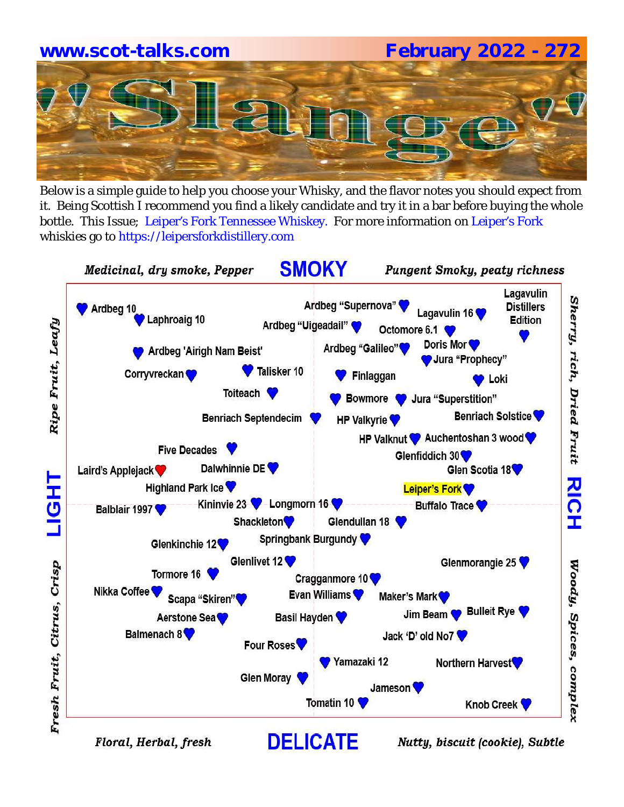# **www.scot-talks.com February 2022 - 272**

Below is a simple guide to help you choose your Whisky, and the flavor notes you should expect from it. Being Scottish I recommend you find a likely candidate and try it in a bar before buying the whole bottle. This Issue; Leiper's Fork Tennessee Whiskey. For more information on Leiper's Fork whiskies go to https://leipersforkdistillery.com



Floral, Herbal, fresh

Nutty, biscuit (cookie), Subtle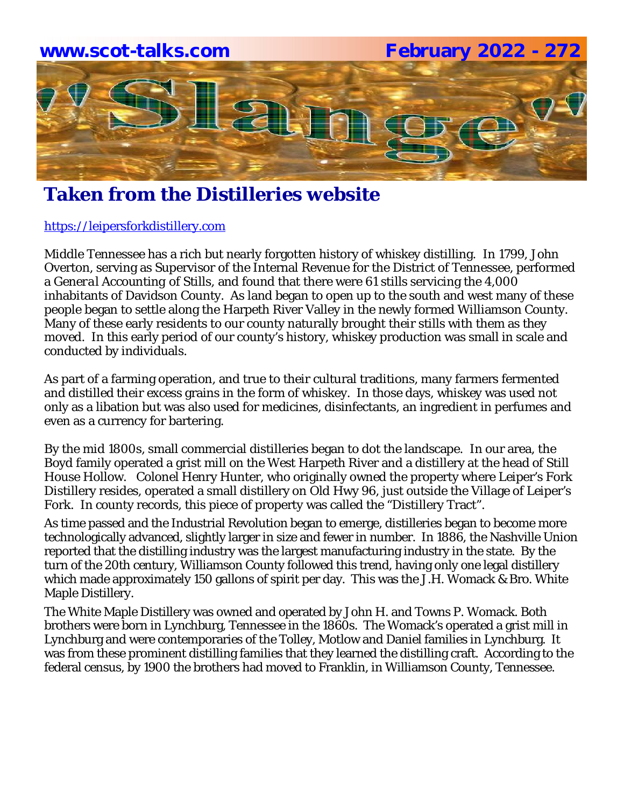

### **Taken from the Distilleries website**

### https://leipersforkdistillery.com

Middle Tennessee has a rich but nearly forgotten history of whiskey distilling. In 1799, John Overton, serving as Supervisor of the Internal Revenue for the District of Tennessee, performed a *General Accounting of Stills,* and found that there were 61 stills servicing the 4,000 inhabitants of Davidson County. As land began to open up to the south and west many of these people began to settle along the Harpeth River Valley in the newly formed Williamson County. Many of these early residents to our county naturally brought their stills with them as they moved. In this early period of our county's history, whiskey production was small in scale and conducted by individuals.

As part of a farming operation, and true to their cultural traditions, many farmers fermented and distilled their excess grains in the form of whiskey. In those days, whiskey was used not only as a libation but was also used for medicines, disinfectants, an ingredient in perfumes and even as a currency for bartering.

By the mid 1800s, small commercial distilleries began to dot the landscape. In our area, the Boyd family operated a grist mill on the West Harpeth River and a distillery at the head of Still House Hollow. Colonel Henry Hunter, who originally owned the property where Leiper's Fork Distillery resides, operated a small distillery on Old Hwy 96, just outside the Village of Leiper's Fork. In county records, this piece of property was called the "Distillery Tract".

As time passed and the Industrial Revolution began to emerge, distilleries began to become more technologically advanced, slightly larger in size and fewer in number. In 1886, the Nashville Union reported that the distilling industry was the largest manufacturing industry in the state. By the turn of the 20th century, Williamson County followed this trend, having only one legal distillery which made approximately 150 gallons of spirit per day. This was the J.H. Womack & Bro. White Maple Distillery.

The White Maple Distillery was owned and operated by John H. and Towns P. Womack. Both brothers were born in Lynchburg, Tennessee in the 1860s. The Womack's operated a grist mill in Lynchburg and were contemporaries of the Tolley, Motlow and Daniel families in Lynchburg. It was from these prominent distilling families that they learned the distilling craft. According to the federal census, by 1900 the brothers had moved to Franklin, in Williamson County, Tennessee.